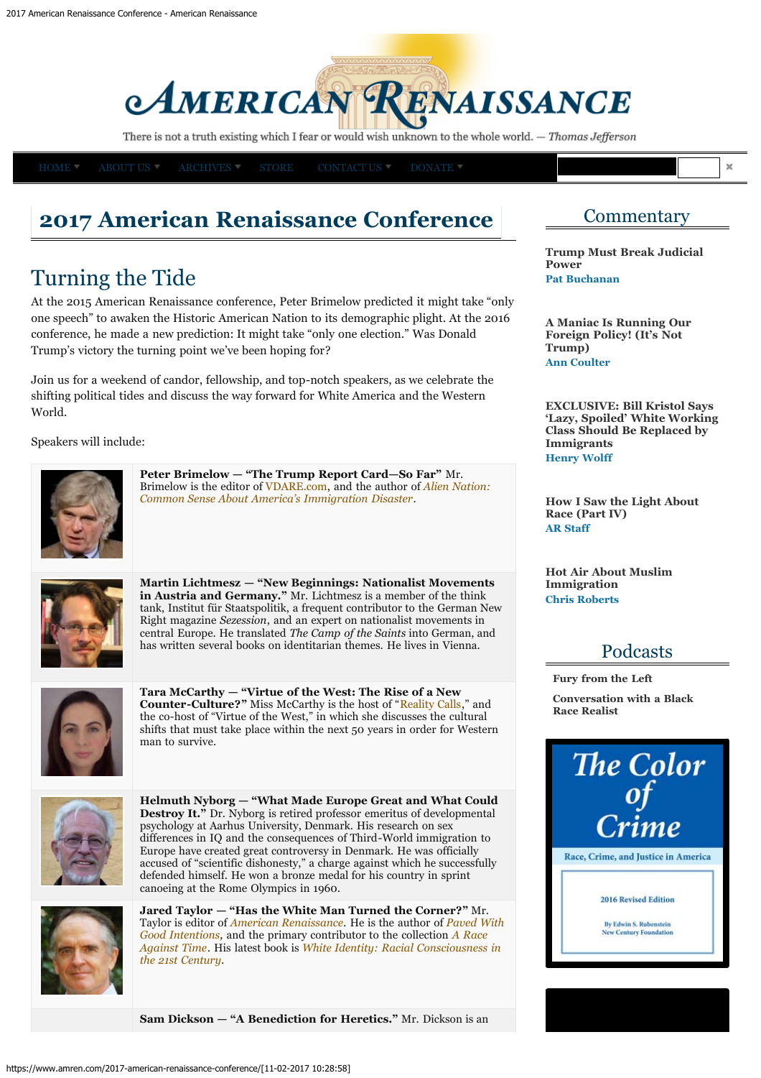# **AMERICAN RENAISSANCE**

There is not a truth existing which I fear or would wish unknown to the whole world. - Thomas Jefferson

## **2017 American Renaissance Conference**

## Turning the Tide

At the 2015 American Renaissance conference, Peter Brimelow predicted it might take "only one speech" to awaken the Historic American Nation to its demographic plight. At the 2016 conference, he made a new prediction: It might take "only one election." Was Donald Trump's victory the turning point we've been hoping for?

Join us for a weekend of candor, fellowship, and top-notch speakers, as we celebrate the shifting political tides and discuss the way forward for White America and the Western World.

Speakers will include:



**Peter Brimelow — "The Trump Report Card—So Far"** Mr. Brimelow is the editor of [VDARE.com,](http://www.vdare.com/) and the author of *Alien Nation: Common Sense About America's Immigration Disaster*.



**Martin Lichtmesz — "New Beginnings: Nationalist Movements in Austria and Germany."** Mr. Lichtmesz is a member of the think tank, Institut für Staatspolitik, a frequent contributor to the German New Right magazine *Sezession*, and an expert on nationalist movements in central Europe. He translated *The Camp of the Saints* into German, and has written several books on identitarian themes. He lives in Vienna.



**Tara McCarthy — "Virtue of the West: The Rise of a New Counter-Culture?"** Miss McCarthy is the host of "[Reality Calls](https://realitycallsshow.com/)," and the co-host of "Virtue of the West," in which she discusses the cultural shifts that must take place within the next 50 years in order for Western man to survive.



**Helmuth Nyborg — "What Made Europe Great and What Could Destroy It."** Dr. Nyborg is retired professor emeritus of developmental psychology at Aarhus University, Denmark. His research on sex differences in IO and the consequences of Third-World immigration to Europe have created great controversy in Denmark. He was officially accused of "scientific dishonesty," a charge against which he successfully defended himself. He won a bronze medal for his country in sprint canoeing at the Rome Olympics in 1960.



**Jared Taylor — "Has the White Man Turned the Corner?"** Mr. Taylor is editor of *[American Renaissance](http://www.amren.com/ar/index.html).* He is the author of *[Paved With](https://www.amazon.com/Paved-Good-Intentions-Relations-Contemporary-ebook/dp/B00JV3BPX8) [Good Intentions](https://www.amazon.com/Paved-Good-Intentions-Relations-Contemporary-ebook/dp/B00JV3BPX8),* and the primary contributor to the collection *[A Race](http://store.amren.com/cart.php?target=product&product_id=1575&category_id=95) [Against Time](http://store.amren.com/cart.php?target=product&product_id=1575&category_id=95).* His latest book is *[White Identity: Racial Consciousness in](http://store.amren.com/catalog/books/white-identity/) [the 21st Century](http://store.amren.com/catalog/books/white-identity/).*

**Sam Dickson — "A Benediction for Heretics."** Mr. Dickson is an

## **Commentary**

**[Trump Must Break Judicial](https://www.amren.com/commentary/2017/02/judicial-vs-executive-power-donald-trump-pat-buchanan/) [Power](https://www.amren.com/commentary/2017/02/judicial-vs-executive-power-donald-trump-pat-buchanan/) [Pat Buchanan](https://www.amren.com/author/pat-buchanan/)**

**[A Maniac Is Running Our](https://www.amren.com/commentary/2017/02/judge-james-robart-donald-trump-immigration-ann-coulter/) [Foreign Policy! \(It's Not](https://www.amren.com/commentary/2017/02/judge-james-robart-donald-trump-immigration-ann-coulter/) [Trump\)](https://www.amren.com/commentary/2017/02/judge-james-robart-donald-trump-immigration-ann-coulter/) [Ann Coulter](https://www.amren.com/author/ann-coulter/)**

**[EXCLUSIVE: Bill Kristol Says](https://www.amren.com/news/2017/02/bill-kristol-lazy-spoiled-white-working-class-replaced-immigrants/) ['Lazy, Spoiled' White Working](https://www.amren.com/news/2017/02/bill-kristol-lazy-spoiled-white-working-class-replaced-immigrants/) [Class Should Be Replaced by](https://www.amren.com/news/2017/02/bill-kristol-lazy-spoiled-white-working-class-replaced-immigrants/) [Immigrants](https://www.amren.com/news/2017/02/bill-kristol-lazy-spoiled-white-working-class-replaced-immigrants/) [Henry Wolff](https://www.amren.com/author/wolff/)**

**[How I Saw the Light About](https://www.amren.com/commentary/2017/02/black-white-relations-in-america-demographic-changes/) [Race \(Part IV\)](https://www.amren.com/commentary/2017/02/black-white-relations-in-america-demographic-changes/) [AR Staff](https://www.amren.com/author/arstaff/)**

**[Hot Air About Muslim](https://www.amren.com/commentary/2017/02/donald-trump-executive-order-muslim-immigration-alternative-facts/) [Immigration](https://www.amren.com/commentary/2017/02/donald-trump-executive-order-muslim-immigration-alternative-facts/) [Chris Roberts](https://www.amren.com/author/roberts/)**

### Podcasts

**[Fury from the Left](https://www.amren.com/podcasts/2017/02/fury-from-the-left/)**

**[Conversation with a Black](https://www.amren.com/podcasts/2017/02/conversation-black-race-realist/) [Race Realist](https://www.amren.com/podcasts/2017/02/conversation-black-race-realist/)**



to: